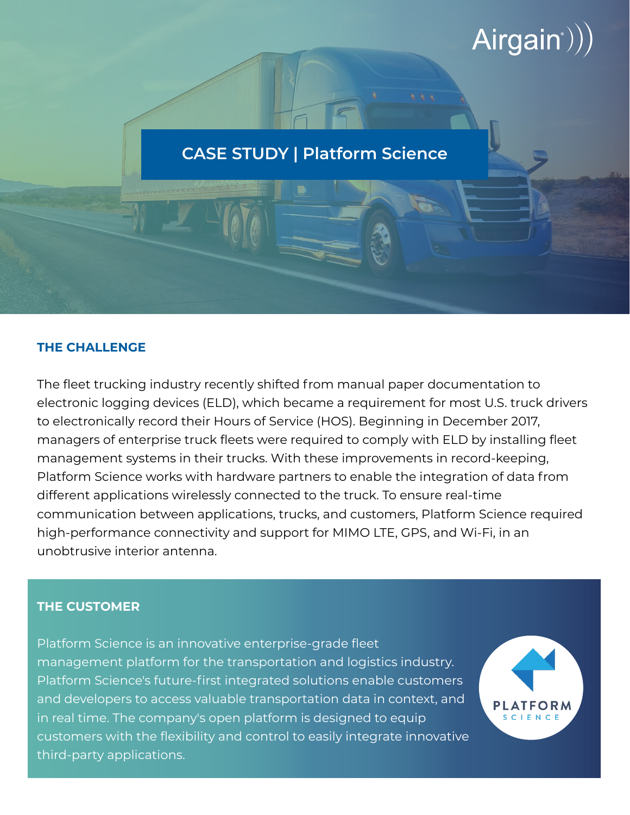# $Airgain$ ))

## **CASE STUDY | Platform Science**

#### **THE CHALLENGE**

The fleet trucking industry recently shifted from manual paper documentation to electronic logging devices (ELD), which became a requirement for most U.S. truck drivers to electronically record their Hours of Service (HOS). Beginning in December 2017, managers of enterprise truck fleets were required to comply with ELD by installing fleet management systems in their trucks. With these improvements in record-keeping, Platform Science works with hardware partners to enable the integration of data from different applications wirelessly connected to the truck. To ensure real-time communication between applications, trucks, and customers, Platform Science required high-performance connectivity and support for MIMO LTE, GPS, and Wi-Fi, in an unobtrusive interior antenna.

#### **THE CUSTOMER**

Platform Science is an innovative enterprise-grade fleet management platform for the transportation and logistics industry. Platform Science's future-first integrated solutions enable customers and developers to access valuable transportation data in context, and in real time. The company's open platform is designed to equip customers with the flexibility and control to easily integrate innovative third-party applications.